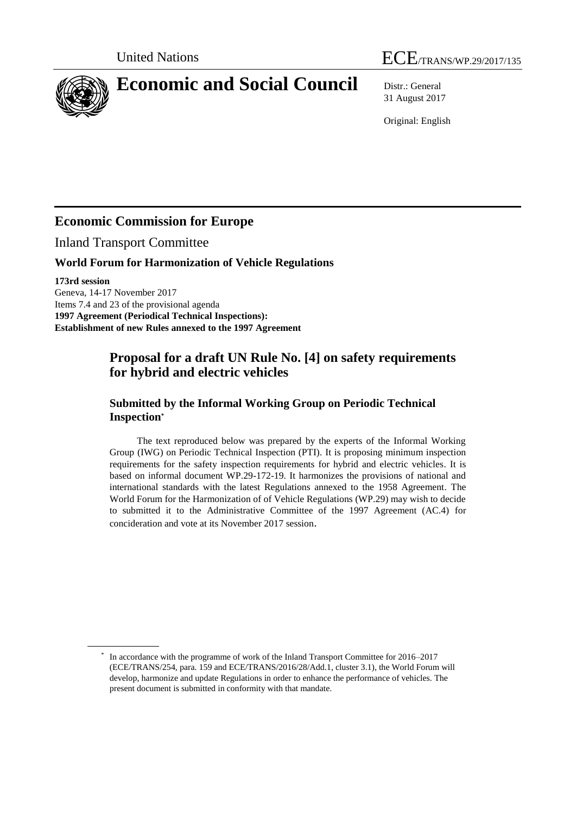

31 August 2017

Original: English

# **Economic Commission for Europe**

Inland Transport Committee

## **World Forum for Harmonization of Vehicle Regulations**

**173rd session**

Geneva, 14-17 November 2017 Items 7.4 and 23 of the provisional agenda **1997 Agreement (Periodical Technical Inspections): Establishment of new Rules annexed to the 1997 Agreement**

## **Proposal for a draft UN Rule No. [4] on safety requirements for hybrid and electric vehicles**

## **Submitted by the Informal Working Group on Periodic Technical Inspection\***

The text reproduced below was prepared by the experts of the Informal Working Group (IWG) on Periodic Technical Inspection (PTI). It is proposing minimum inspection requirements for the safety inspection requirements for hybrid and electric vehicles. It is based on informal document WP.29-172-19. It harmonizes the provisions of national and international standards with the latest Regulations annexed to the 1958 Agreement. The World Forum for the Harmonization of of Vehicle Regulations (WP.29) may wish to decide to submitted it to the Administrative Committee of the 1997 Agreement (AC.4) for concideration and vote at its November 2017 session.

<sup>\*</sup> In accordance with the programme of work of the Inland Transport Committee for 2016–2017 (ECE/TRANS/254, para. 159 and ECE/TRANS/2016/28/Add.1, cluster 3.1), the World Forum will develop, harmonize and update Regulations in order to enhance the performance of vehicles. The present document is submitted in conformity with that mandate.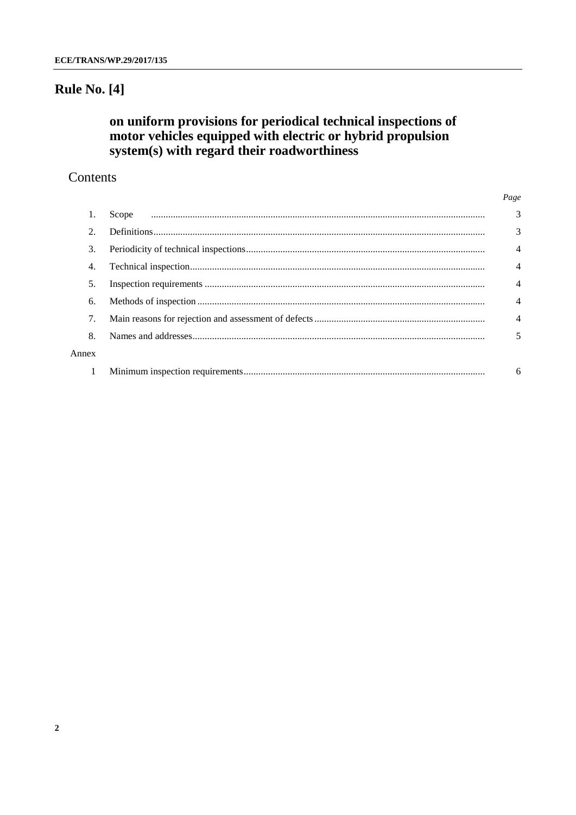## **Rule No. [4]**

# on uniform provisions for periodical technical inspections of motor vehicles equipped with electric or hybrid propulsion<br>system(s) with regard their roadworthiness

## Contents

|                |       | Page           |
|----------------|-------|----------------|
|                | Scope | 3              |
| $\mathfrak{D}$ |       | 3              |
| 3.             |       | $\overline{4}$ |
| 4.             |       | $\overline{4}$ |
| 5.             |       | $\overline{4}$ |
| 6.             |       | $\overline{4}$ |
| 7.             |       | 4              |
| 8.             |       | 5              |
| Annex          |       |                |
|                |       | 6              |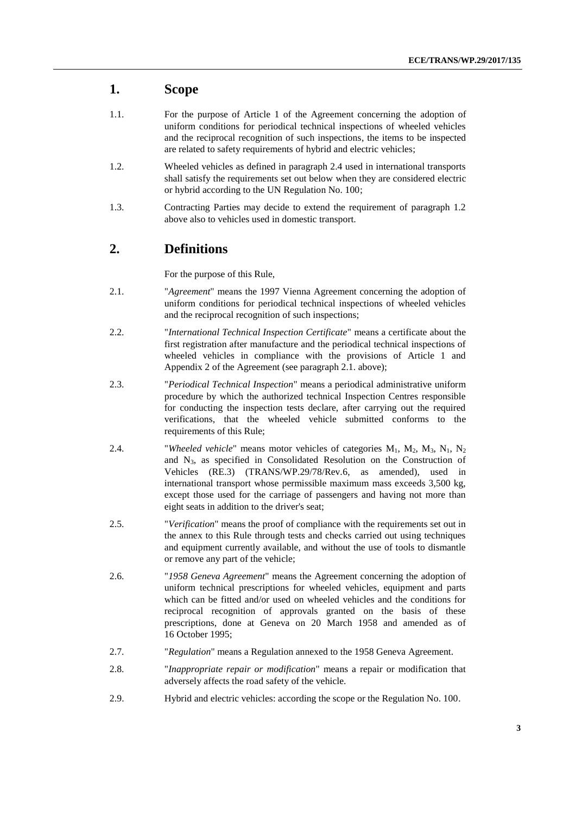#### **1. Scope**

- 1.1. For the purpose of Article 1 of the Agreement concerning the adoption of uniform conditions for periodical technical inspections of wheeled vehicles and the reciprocal recognition of such inspections, the items to be inspected are related to safety requirements of hybrid and electric vehicles;
- 1.2. Wheeled vehicles as defined in paragraph 2.4 used in international transports shall satisfy the requirements set out below when they are considered electric or hybrid according to the UN Regulation No. 100;
- 1.3. Contracting Parties may decide to extend the requirement of paragraph 1.2 above also to vehicles used in domestic transport.

#### **2. Definitions**

For the purpose of this Rule,

- 2.1. "*Agreement*" means the 1997 Vienna Agreement concerning the adoption of uniform conditions for periodical technical inspections of wheeled vehicles and the reciprocal recognition of such inspections;
- 2.2. "*International Technical Inspection Certificate*" means a certificate about the first registration after manufacture and the periodical technical inspections of wheeled vehicles in compliance with the provisions of Article 1 and Appendix 2 of the Agreement (see paragraph 2.1. above);
- 2.3. "*Periodical Technical Inspection*" means a periodical administrative uniform procedure by which the authorized technical Inspection Centres responsible for conducting the inspection tests declare, after carrying out the required verifications, that the wheeled vehicle submitted conforms to the requirements of this Rule;
- 2.4. "*Wheeled vehicle*" means motor vehicles of categories  $M_1$ ,  $M_2$ ,  $M_3$ ,  $N_1$ ,  $N_2$ and N3, as specified in Consolidated Resolution on the Construction of Vehicles (RE.3) (TRANS/WP.29/78/Rev.6, as amended), used in international transport whose permissible maximum mass exceeds 3,500 kg, except those used for the carriage of passengers and having not more than eight seats in addition to the driver's seat;
- 2.5. "*Verification*" means the proof of compliance with the requirements set out in the annex to this Rule through tests and checks carried out using techniques and equipment currently available, and without the use of tools to dismantle or remove any part of the vehicle;
- 2.6. "*1958 Geneva Agreement*" means the Agreement concerning the adoption of uniform technical prescriptions for wheeled vehicles, equipment and parts which can be fitted and/or used on wheeled vehicles and the conditions for reciprocal recognition of approvals granted on the basis of these prescriptions, done at Geneva on 20 March 1958 and amended as of 16 October 1995;
- 2.7. "*Regulation*" means a Regulation annexed to the 1958 Geneva Agreement.
- 2.8. "*Inappropriate repair or modification*" means a repair or modification that adversely affects the road safety of the vehicle.
- 2.9. Hybrid and electric vehicles: according the scope or the Regulation No. 100.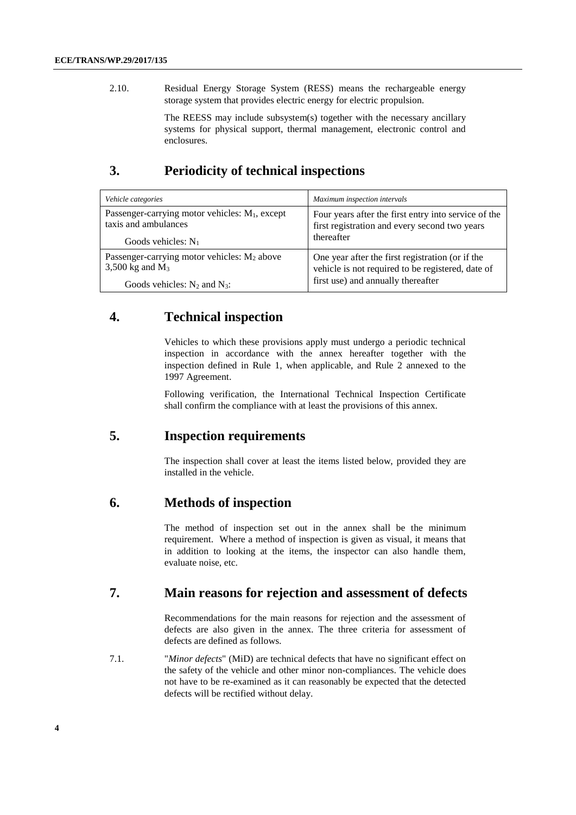2.10. Residual Energy Storage System (RESS) means the rechargeable energy storage system that provides electric energy for electric propulsion.

> The REESS may include subsystem(s) together with the necessary ancillary systems for physical support, thermal management, electronic control and enclosures.

## **3. Periodicity of technical inspections**

| Vehicle categories                                      | Maximum inspection intervals                         |
|---------------------------------------------------------|------------------------------------------------------|
| Passenger-carrying motor vehicles: $M_1$ , except       | Four years after the first entry into service of the |
| taxis and ambulances                                    | first registration and every second two years        |
| Goods vehicles: $N_1$                                   | thereafter                                           |
| Passenger-carrying motor vehicles: M <sub>2</sub> above | One year after the first registration (or if the     |
| 3,500 kg and $M_3$                                      | vehicle is not required to be registered, date of    |
| Goods vehicles: $N_2$ and $N_3$ :                       | first use) and annually thereafter                   |

#### **4. Technical inspection**

Vehicles to which these provisions apply must undergo a periodic technical inspection in accordance with the annex hereafter together with the inspection defined in Rule 1, when applicable, and Rule 2 annexed to the 1997 Agreement.

Following verification, the International Technical Inspection Certificate shall confirm the compliance with at least the provisions of this annex.

#### **5. Inspection requirements**

The inspection shall cover at least the items listed below, provided they are installed in the vehicle.

#### **6. Methods of inspection**

The method of inspection set out in the annex shall be the minimum requirement. Where a method of inspection is given as visual, it means that in addition to looking at the items, the inspector can also handle them, evaluate noise, etc.

### **7. Main reasons for rejection and assessment of defects**

Recommendations for the main reasons for rejection and the assessment of defects are also given in the annex. The three criteria for assessment of defects are defined as follows.

7.1. "*Minor defects*" (MiD) are technical defects that have no significant effect on the safety of the vehicle and other minor non-compliances. The vehicle does not have to be re-examined as it can reasonably be expected that the detected defects will be rectified without delay.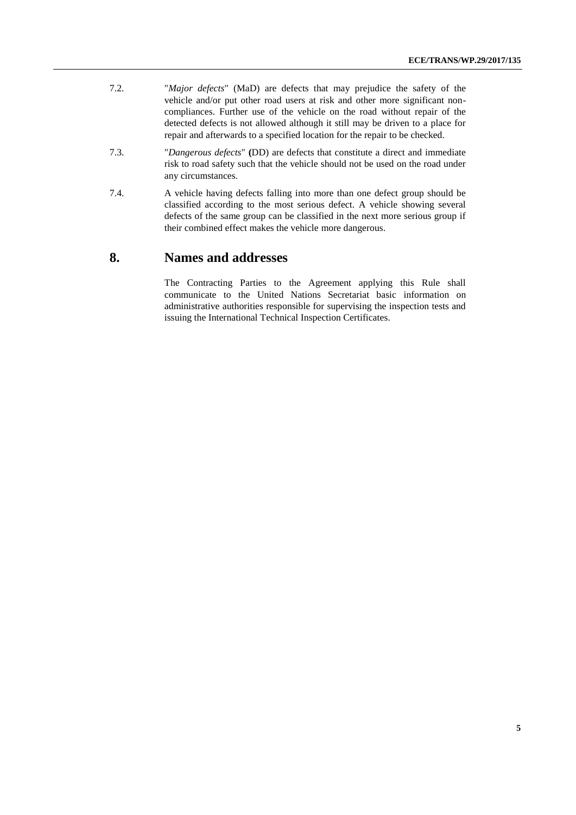- 7.2. "*Major defects*" (MaD) are defects that may prejudice the safety of the vehicle and/or put other road users at risk and other more significant noncompliances. Further use of the vehicle on the road without repair of the detected defects is not allowed although it still may be driven to a place for repair and afterwards to a specified location for the repair to be checked.
- 7.3. "*Dangerous defects*" **(**DD) are defects that constitute a direct and immediate risk to road safety such that the vehicle should not be used on the road under any circumstances.
- 7.4. A vehicle having defects falling into more than one defect group should be classified according to the most serious defect. A vehicle showing several defects of the same group can be classified in the next more serious group if their combined effect makes the vehicle more dangerous.

#### **8. Names and addresses**

The Contracting Parties to the Agreement applying this Rule shall communicate to the United Nations Secretariat basic information on administrative authorities responsible for supervising the inspection tests and issuing the International Technical Inspection Certificates.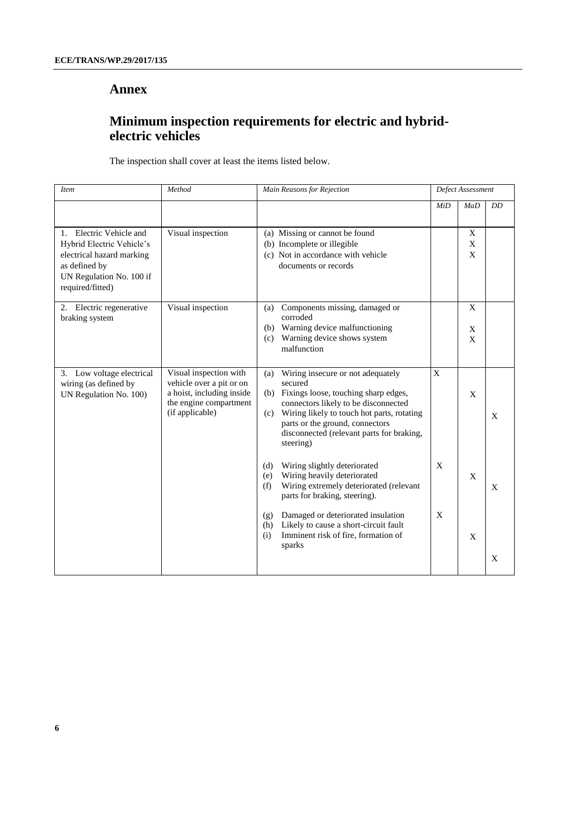#### **Annex**

## **Minimum inspection requirements for electric and hybridelectric vehicles**

The inspection shall cover at least the items listed below.

| <b>Item</b>                                                                                                                                        | Method                                                                                                                       | Main Reasons for Rejection                                                                                                                                                                                                                                                                   | Defect Assessment |              |    |
|----------------------------------------------------------------------------------------------------------------------------------------------------|------------------------------------------------------------------------------------------------------------------------------|----------------------------------------------------------------------------------------------------------------------------------------------------------------------------------------------------------------------------------------------------------------------------------------------|-------------------|--------------|----|
|                                                                                                                                                    |                                                                                                                              |                                                                                                                                                                                                                                                                                              | MiD               | MaD          | DD |
| 1. Electric Vehicle and<br>Hybrid Electric Vehicle's<br>electrical hazard marking<br>as defined by<br>UN Regulation No. 100 if<br>required/fitted) | Visual inspection                                                                                                            | (a) Missing or cannot be found<br>(b) Incomplete or illegible<br>(c) Not in accordance with vehicle<br>documents or records                                                                                                                                                                  |                   | X<br>X<br>X  |    |
| 2. Electric regenerative<br>braking system                                                                                                         | Visual inspection                                                                                                            | Components missing, damaged or<br>(a)<br>corroded<br>Warning device malfunctioning<br>(b)<br>Warning device shows system<br>(c)<br>malfunction                                                                                                                                               |                   | X<br>X<br>X  |    |
| 3. Low voltage electrical<br>wiring (as defined by<br>UN Regulation No. 100)                                                                       | Visual inspection with<br>vehicle over a pit or on<br>a hoist, including inside<br>the engine compartment<br>(if applicable) | Wiring insecure or not adequately<br>(a)<br>secured<br>Fixings loose, touching sharp edges,<br>(b)<br>connectors likely to be disconnected<br>Wiring likely to touch hot parts, rotating<br>(c)<br>parts or the ground, connectors<br>disconnected (relevant parts for braking,<br>steering) | X                 | X            | X  |
|                                                                                                                                                    |                                                                                                                              | Wiring slightly deteriorated<br>(d)<br>Wiring heavily deteriorated<br>(e)<br>Wiring extremely deteriorated (relevant<br>(f)<br>parts for braking, steering).                                                                                                                                 | X                 | $\mathbf{X}$ | X  |
|                                                                                                                                                    |                                                                                                                              | Damaged or deteriorated insulation<br>(g)<br>Likely to cause a short-circuit fault<br>(h)<br>Imminent risk of fire, formation of<br>(i)<br>sparks                                                                                                                                            | X                 | $\mathbf X$  | X  |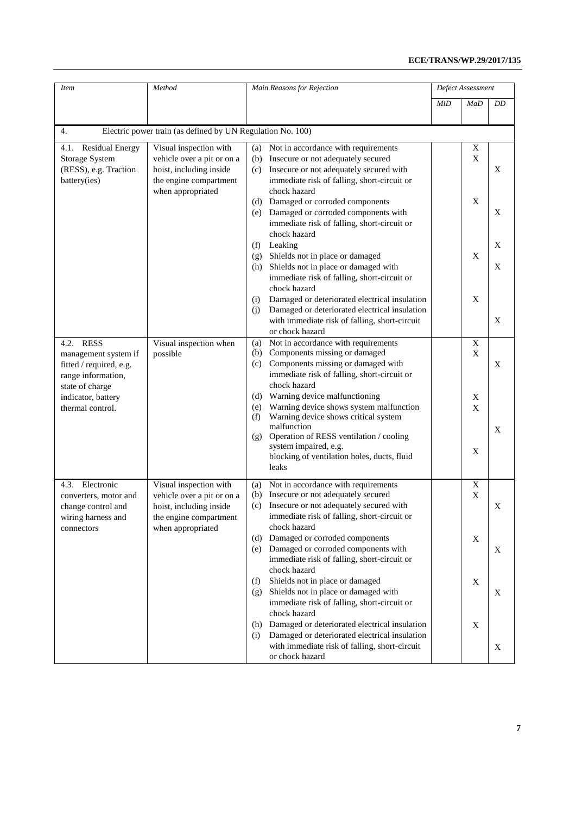| Item                                                                                              | Method                                                                          | Main Reasons for Rejection                                                                                                                           |     | Defect Assessment |    |  |  |  |
|---------------------------------------------------------------------------------------------------|---------------------------------------------------------------------------------|------------------------------------------------------------------------------------------------------------------------------------------------------|-----|-------------------|----|--|--|--|
|                                                                                                   |                                                                                 |                                                                                                                                                      | MiD | MaD               | DD |  |  |  |
| $\overline{4}$ .<br>Electric power train (as defined by UN Regulation No. 100)                    |                                                                                 |                                                                                                                                                      |     |                   |    |  |  |  |
| 4.1. Residual Energy<br>Visual inspection with<br>Not in accordance with requirements<br>X<br>(a) |                                                                                 |                                                                                                                                                      |     |                   |    |  |  |  |
| Storage System<br>(RESS), e.g. Traction                                                           | vehicle over a pit or on a<br>hoist, including inside                           | Insecure or not adequately secured<br>(b)<br>Insecure or not adequately secured with<br>(c)                                                          |     | X                 | X  |  |  |  |
| battery(ies)                                                                                      | the engine compartment<br>when appropriated                                     | immediate risk of falling, short-circuit or<br>chock hazard                                                                                          |     |                   |    |  |  |  |
|                                                                                                   |                                                                                 | Damaged or corroded components<br>(d)<br>Damaged or corroded components with<br>(e)<br>immediate risk of falling, short-circuit or                   |     | X                 | X  |  |  |  |
|                                                                                                   |                                                                                 | chock hazard<br>Leaking<br>(f)                                                                                                                       |     |                   | X  |  |  |  |
|                                                                                                   |                                                                                 | Shields not in place or damaged<br>(g)                                                                                                               |     | X                 |    |  |  |  |
|                                                                                                   |                                                                                 | Shields not in place or damaged with<br>(h)<br>immediate risk of falling, short-circuit or<br>chock hazard                                           |     |                   | X  |  |  |  |
|                                                                                                   |                                                                                 | Damaged or deteriorated electrical insulation<br>(i)<br>Damaged or deteriorated electrical insulation<br>(i)                                         |     | X                 |    |  |  |  |
|                                                                                                   |                                                                                 | with immediate risk of falling, short-circuit<br>or chock hazard                                                                                     |     |                   | X  |  |  |  |
| <b>RESS</b><br>4.2.                                                                               | Visual inspection when                                                          | Not in accordance with requirements<br>(a)                                                                                                           |     | X                 |    |  |  |  |
| management system if<br>fitted / required, e.g.<br>range information,                             | possible                                                                        | Components missing or damaged<br>(b)<br>Components missing or damaged with<br>(c)<br>immediate risk of falling, short-circuit or<br>chock hazard     |     | X                 | X  |  |  |  |
| state of charge<br>indicator, battery<br>thermal control.                                         |                                                                                 | Warning device malfunctioning<br>(d)<br>Warning device shows system malfunction<br>(e)<br>Warning device shows critical system<br>(f)                |     | X<br>X            |    |  |  |  |
|                                                                                                   |                                                                                 | malfunction<br>Operation of RESS ventilation / cooling<br>(g)<br>system impaired, e.g.<br>blocking of ventilation holes, ducts, fluid<br>leaks       |     | X                 | X  |  |  |  |
| 4.3. Electronic<br>converters, motor and<br>change control and                                    | Visual inspection with<br>vehicle over a pit or on a<br>hoist, including inside | Not in accordance with requirements<br>(a)<br>Insecure or not adequately secured<br>(b)<br>Insecure or not adequately secured with<br>(c)            |     | X<br>X            | X  |  |  |  |
| wiring harness and<br>connectors                                                                  | the engine compartment<br>when appropriated                                     | immediate risk of falling, short-circuit or<br>chock hazard                                                                                          |     |                   |    |  |  |  |
|                                                                                                   |                                                                                 | Damaged or corroded components<br>(d)<br>Damaged or corroded components with<br>(e)<br>immediate risk of falling, short-circuit or                   |     | X                 | X  |  |  |  |
|                                                                                                   |                                                                                 | chock hazard<br>Shields not in place or damaged<br>(f)<br>Shields not in place or damaged with<br>(g)<br>immediate risk of falling, short-circuit or |     | X                 | X  |  |  |  |
|                                                                                                   |                                                                                 | chock hazard<br>Damaged or deteriorated electrical insulation<br>(h)<br>Damaged or deteriorated electrical insulation<br>(i)                         |     | X                 |    |  |  |  |
|                                                                                                   |                                                                                 | with immediate risk of falling, short-circuit<br>or chock hazard                                                                                     |     |                   | X  |  |  |  |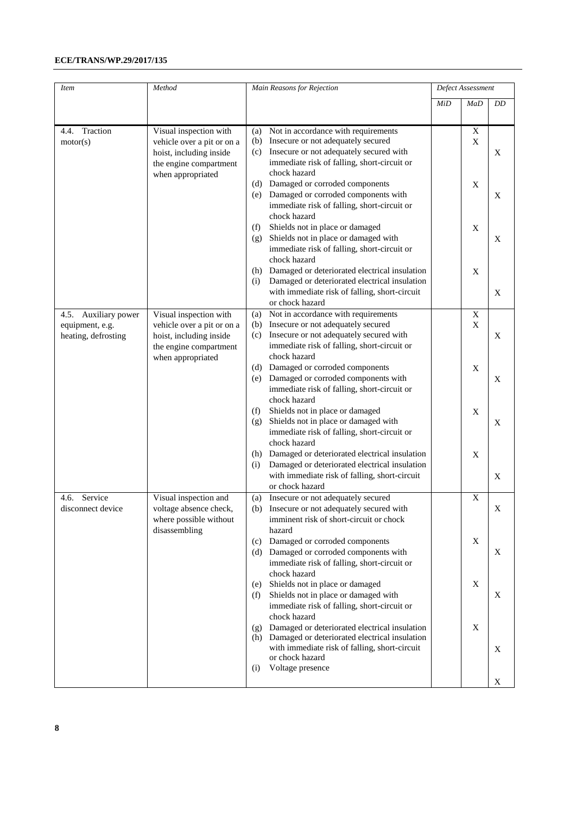#### **ECE/TRANS/WP.29/2017/135**

| <i>Item</i>                                                    | Method                                                                                                                         | Main Reasons for Rejection                                                                                                                                                                               |     | Defect Assessment |    |  |  |
|----------------------------------------------------------------|--------------------------------------------------------------------------------------------------------------------------------|----------------------------------------------------------------------------------------------------------------------------------------------------------------------------------------------------------|-----|-------------------|----|--|--|
|                                                                |                                                                                                                                |                                                                                                                                                                                                          | MiD | MaD               | DD |  |  |
| 4.4. Traction<br>motor(s)                                      | Visual inspection with<br>vehicle over a pit or on a<br>hoist, including inside<br>the engine compartment<br>when appropriated | Not in accordance with requirements<br>(a)<br>Insecure or not adequately secured<br>(b)<br>Insecure or not adequately secured with<br>(c)<br>immediate risk of falling, short-circuit or<br>chock hazard |     | X<br>X            | X  |  |  |
|                                                                |                                                                                                                                | Damaged or corroded components<br>(d)<br>Damaged or corroded components with<br>(e)<br>immediate risk of falling, short-circuit or<br>chock hazard                                                       |     | X                 | X  |  |  |
|                                                                |                                                                                                                                | Shields not in place or damaged<br>(f)<br>Shields not in place or damaged with<br>(g)<br>immediate risk of falling, short-circuit or<br>chock hazard                                                     |     | X                 | X  |  |  |
|                                                                |                                                                                                                                | Damaged or deteriorated electrical insulation<br>(h)<br>Damaged or deteriorated electrical insulation<br>(i)<br>with immediate risk of falling, short-circuit<br>or chock hazard                         |     | X                 | X  |  |  |
| 4.5. Auxiliary power<br>equipment, e.g.<br>heating, defrosting | Visual inspection with<br>vehicle over a pit or on a<br>hoist, including inside<br>the engine compartment<br>when appropriated | Not in accordance with requirements<br>(a)<br>(b) Insecure or not adequately secured<br>Insecure or not adequately secured with<br>(c)<br>immediate risk of falling, short-circuit or<br>chock hazard    |     | X<br>X            | X  |  |  |
|                                                                |                                                                                                                                | (d) Damaged or corroded components<br>Damaged or corroded components with<br>(e)<br>immediate risk of falling, short-circuit or<br>chock hazard                                                          |     | $\mathbf X$       | X  |  |  |
|                                                                |                                                                                                                                | Shields not in place or damaged<br>(f)<br>Shields not in place or damaged with<br>(g)<br>immediate risk of falling, short-circuit or<br>chock hazard                                                     |     | X                 | X  |  |  |
|                                                                |                                                                                                                                | Damaged or deteriorated electrical insulation<br>(h)<br>Damaged or deteriorated electrical insulation<br>(i)<br>with immediate risk of falling, short-circuit<br>or chock hazard                         |     | X                 | X  |  |  |
| 4.6. Service<br>disconnect device                              | Visual inspection and<br>voltage absence check,<br>where possible without<br>disassembling                                     | Insecure or not adequately secured<br>(a)<br>(b) Insecure or not adequately secured with<br>imminent risk of short-circuit or chock<br>hazard                                                            |     | X                 | X  |  |  |
|                                                                |                                                                                                                                | Damaged or corroded components<br>(c)<br>(d) Damaged or corroded components with<br>immediate risk of falling, short-circuit or<br>chock hazard                                                          |     | X                 | X  |  |  |
|                                                                |                                                                                                                                | Shields not in place or damaged<br>(e)<br>Shields not in place or damaged with<br>(f)<br>immediate risk of falling, short-circuit or<br>chock hazard                                                     |     | $\mathbf X$       | X  |  |  |
|                                                                |                                                                                                                                | Damaged or deteriorated electrical insulation<br>(g)<br>(h) Damaged or deteriorated electrical insulation<br>with immediate risk of falling, short-circuit<br>or chock hazard                            |     | X                 | X  |  |  |
|                                                                |                                                                                                                                | Voltage presence<br>(i)                                                                                                                                                                                  |     |                   | X  |  |  |